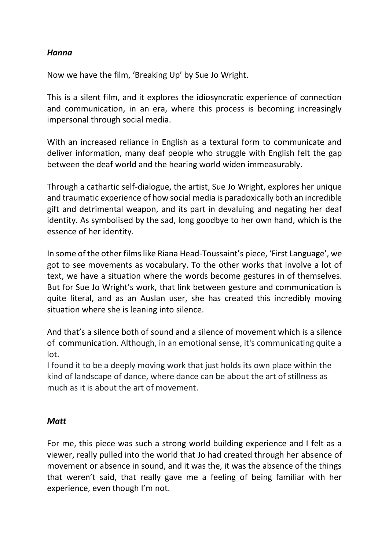## *Hanna*

Now we have the film, 'Breaking Up' by Sue Jo Wright.

This is a silent film, and it explores the idiosyncratic experience of connection and communication, in an era, where this process is becoming increasingly impersonal through social media.

With an increased reliance in English as a textural form to communicate and deliver information, many deaf people who struggle with English felt the gap between the deaf world and the hearing world widen immeasurably.

Through a cathartic self-dialogue, the artist, Sue Jo Wright, explores her unique and traumatic experience of how social media is paradoxically both an incredible gift and detrimental weapon, and its part in devaluing and negating her deaf identity. As symbolised by the sad, long goodbye to her own hand, which is the essence of her identity.

In some of the other films like Riana Head-Toussaint's piece, 'First Language', we got to see movements as vocabulary. To the other works that involve a lot of text, we have a situation where the words become gestures in of themselves. But for Sue Jo Wright's work, that link between gesture and communication is quite literal, and as an Auslan user, she has created this incredibly moving situation where she is leaning into silence.

And that's a silence both of sound and a silence of movement which is a silence of communication. Although, in an emotional sense, it's communicating quite a lot.

I found it to be a deeply moving work that just holds its own place within the kind of landscape of dance, where dance can be about the art of stillness as much as it is about the art of movement.

## *Matt*

For me, this piece was such a strong world building experience and I felt as a viewer, really pulled into the world that Jo had created through her absence of movement or absence in sound, and it was the, it was the absence of the things that weren't said, that really gave me a feeling of being familiar with her experience, even though I'm not.